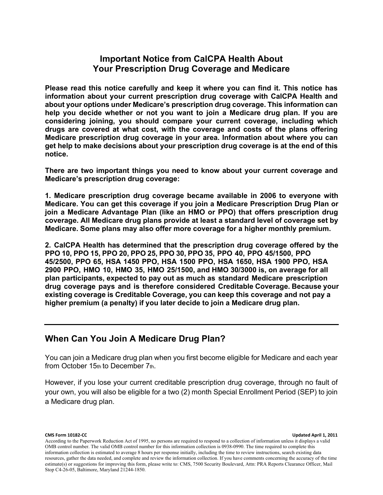### **Important Notice from CalCPA Health About Your Prescription Drug Coverage and Medicare**

**Please read this notice carefully and keep it where you can find it. This notice has information about your current prescription drug coverage with CalCPA Health and about your options under Medicare's prescription drug coverage. This information can help you decide whether or not you want to join a Medicare drug plan. If you are considering joining, you should compare your current coverage, including which drugs are covered at what cost, with the coverage and costs of the plans offering Medicare prescription drug coverage in your area. Information about where you can get help to make decisions about your prescription drug coverage is at the end of this notice.** 

**There are two important things you need to know about your current coverage and Medicare's prescription drug coverage:** 

**1. Medicare prescription drug coverage became available in 2006 to everyone with Medicare. You can get this coverage if you join a Medicare Prescription Drug Plan or join a Medicare Advantage Plan (like an HMO or PPO) that offers prescription drug coverage. All Medicare drug plans provide at least a standard level of coverage set by Medicare. Some plans may also offer more coverage for a higher monthly premium.**

**2. CalCPA Health has determined that the prescription drug coverage offered by the PPO 10, PPO 15, PPO 20, PPO 25, PPO 30, PPO 35, PPO 40, PPO 45/1500, PPO 45/2500, PPO 65, HSA 1450 PPO, HSA 1500 PPO, HSA 1650, HSA 1900 PPO, HSA 2900 PPO, HMO 10, HMO 35, HMO 25/1500, and HMO 30/3000 is, on average for all plan participants, expected to pay out as much as standard Medicare prescription drug coverage pays and is therefore considered Creditable Coverage. Because your existing coverage is Creditable Coverage, you can keep this coverage and not pay a higher premium (a penalty) if you later decide to join a Medicare drug plan.**

#### **When Can You Join A Medicare Drug Plan?**

You can join a Medicare drug plan when you first become eligible for Medicare and each year from October 15th to December 7th.

However, if you lose your current creditable prescription drug coverage, through no fault of your own, you will also be eligible for a two (2) month Special Enrollment Period (SEP) to join a Medicare drug plan.

**CMS Form 10182-CC Updated April 1, 2011** 

According to the Paperwork Reduction Act of 1995, no persons are required to respond to a collection of information unless it displays a valid OMB control number. The valid OMB control number for this information collection is 0938-0990. The time required to complete this information collection is estimated to average 8 hours per response initially, including the time to review instructions, search existing data resources, gather the data needed, and complete and review the information collection. If you have comments concerning the accuracy of the time estimate(s) or suggestions for improving this form, please write to: CMS, 7500 Security Boulevard, Attn: PRA Reports Clearance Officer, Mail Stop C4-26-05, Baltimore, Maryland 21244-1850.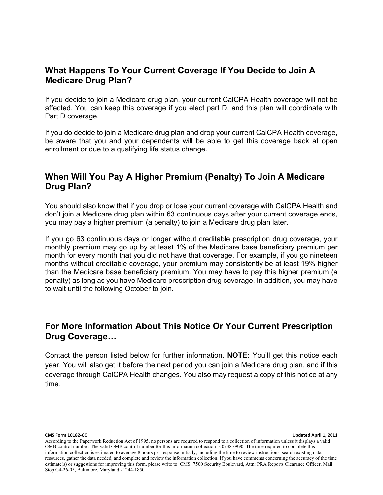# **What Happens To Your Current Coverage If You Decide to Join A Medicare Drug Plan?**

If you decide to join a Medicare drug plan, your current CalCPA Health coverage will not be affected. You can keep this coverage if you elect part D, and this plan will coordinate with Part D coverage.

If you do decide to join a Medicare drug plan and drop your current CalCPA Health coverage, be aware that you and your dependents will be able to get this coverage back at open enrollment or due to a qualifying life status change.

# **When Will You Pay A Higher Premium (Penalty) To Join A Medicare Drug Plan?**

You should also know that if you drop or lose your current coverage with CalCPA Health and don't join a Medicare drug plan within 63 continuous days after your current coverage ends, you may pay a higher premium (a penalty) to join a Medicare drug plan later.

If you go 63 continuous days or longer without creditable prescription drug coverage, your monthly premium may go up by at least 1% of the Medicare base beneficiary premium per month for every month that you did not have that coverage. For example, if you go nineteen months without creditable coverage, your premium may consistently be at least 19% higher than the Medicare base beneficiary premium. You may have to pay this higher premium (a penalty) as long as you have Medicare prescription drug coverage. In addition, you may have to wait until the following October to join.

# **For More Information About This Notice Or Your Current Prescription Drug Coverage…**

Contact the person listed below for further information. **NOTE:** You'll get this notice each year. You will also get it before the next period you can join a Medicare drug plan, and if this coverage through CalCPA Health changes. You also may request a copy of this notice at any time.

**CMS Form 10182-CC Updated April 1, 2011** 

According to the Paperwork Reduction Act of 1995, no persons are required to respond to a collection of information unless it displays a valid OMB control number. The valid OMB control number for this information collection is 0938-0990. The time required to complete this information collection is estimated to average 8 hours per response initially, including the time to review instructions, search existing data resources, gather the data needed, and complete and review the information collection. If you have comments concerning the accuracy of the time estimate(s) or suggestions for improving this form, please write to: CMS, 7500 Security Boulevard, Attn: PRA Reports Clearance Officer, Mail Stop C4-26-05, Baltimore, Maryland 21244-1850.